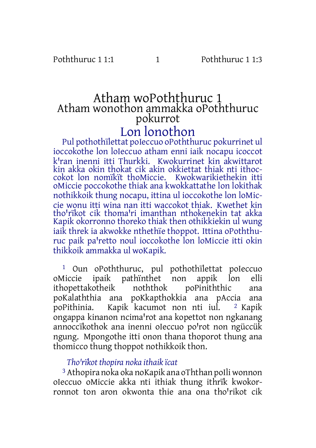# Atham woPoththuruc 1 Atham wonothon ammakka oPoththuruc pokurrot

# Lon lonothon

Pul pothothïlettat poIeccuo oPoththuruc pokurrinet ul ioccokothe lon loIeccuo atham enni iaik nocapu icoccot k<sup>I</sup>ran inenni itti Thurkki. Kwokurrinet kin akwittarot kin akka okin thokat cik akin okkiettat thiak nti ithoccokot lon nomïkït thoMiccie. Kwokwarikiethekin itti oMiccie poccokothe thiak ana kwokkattathe lon lokithak nothikkoik thung nocapu, ittina ul ioccokothe lon loMiccie wonu itti wina nan itti waccokot thiak. Kwethet kin tho'rïkot cik thoma'ri imanthan nthokenekin tat akka Kapik okorronno thoreko thiak then othikkiekin ul wung iaik threk ia akwokke nthethïe thoppot. Ittina oPoththuruc paik pa'retto noul ioccokothe lon loMiccie itti okin thikkoik ammakka ul woKapik.

<sup>1</sup> Oun oPoththuruc, pul pothothïlettat poIeccuo<br>Miccie ipaik pathïnthet non appik lon elli oMiccie ipaik pathïnthet non appik lon<br>ithopettakotheik noththok poPiniththic ithopettakotheik noththok poPiniththic ana poKalaththia ana poKkapthokkia ana pAccia ana<br>poPithinia. Kapik kacumot non nti jul. <sup>2</sup> Kapik poPithinia. Kapik kacumot non nti iul. ongappa kinanon ncima'rot ana kopettot non ngkanang annoccïkothok ana inenni oIeccuo po'rot non ngüccük ngung. Mpongothe itti onon thana thoporot thung ana thomicco thung thoppot nothikkoik thon.

# *Thoꞌrïkot thopira noka ithaik ïcat*

3 Athopira noka oka noKapik ana oThthan poIli wonnon oIeccuo oMiccie akka nti ithiak thung ithrïk kwokorronnot ton aron okwonta thie ana ona tho<sup>l</sup>rikot cik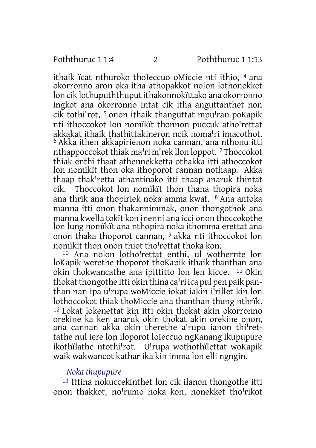ithaik ïcat nthuroko thoIeccuo oMiccie nti ithio, 4 ana okorronno aron oka itha athopakkot nolon lothonekket lon cik lothupuththuput ithakonnokïttako ana okorronno ingkot ana okorronno intat cik itha anguttanthet non cik tothi'rot,  $^5$  onon ithaik thanguttat mpu'ran poKapik nti ithoccokot lon nomïkït thonnon puccuk atholrettat akkakat ithaik thathittakineron ncik noma'ri imacothot. 6 Akka ithen akkapirienon noka cannan, ana nthonu itti nthappoccokot thiak ma'ri m'rek llon loppot. 7Thoccokot thiak enthi thaat athennekketta othakka itti athoccokot lon nomïkït thon oka ithoporot cannan nothaap. Akka thaap thak'retta athantinako itti thaap anaruk thintat cik. Thoccokot lon nomïkït thon thana thopira noka ana thrïk ana thopiriek noka amma kwat. 8 Ana antoka manna itti onon thakannimmak, onon thongothok ana manna kwella tokït kon inenni ana icci onon thoccokothe lon lung nomïkït ana nthopira noka ithomma erettat ana onon thaka thoporot cannan, 9 akka nti ithoccokot lon nomïkït thon onon thiot tho'rettat thoka kon.

<sup>10</sup> Ana nolon lotho<sup>1</sup>rettat enthi, ul wothernte lon loKapik werethe thoporot thoKapik ithaik thanthan ana okin thokwancathe ana ipittitto lon len kicce. 11 Okin thokat thongothe itti okin thina ca'ri ica pul pen paik panthan nan ipa u'rupa woMiccie iokat iakin i'rillet kin lon lothoccokot thiak thoMiccie ana thanthan thung nthrïk. 12 Lokat lokenettat kin itti okin thokat akin okorronno orekine ka ken anaruk okin thokat akin orekine onon, ana cannan akka okin therethe a'rupu ianon thi'rettathe nul iere lon iloporot loIeccuo ngKanang ikupupure ikothïlathe ntothi'rot. U'rupa wothothïlettat woKapik waik wakwancot kathar ika kin imma lon elli ngngin.

#### *Noka thupupure*

13 Ittina nokuccekinthet lon cik ilanon thongothe itti onon thakkot, no'rumo noka kon, nonekket tho'rikot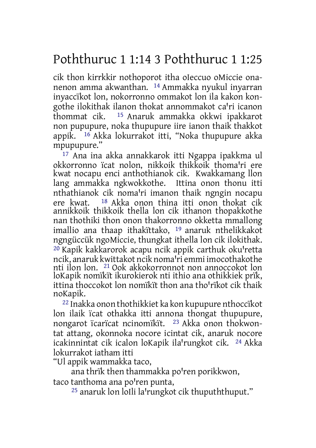# Poththuruc 1 1:14 3 Poththuruc 1 1:25

cik thon kirrkkir nothoporot itha oIeccuo oMiccie onanenon amma akwanthan. 14 Ammakka nyukul inyarran inyaccïkot lon, nokorronno ommakot lon ila kakon kongothe ilokithak ilanon thokat annommakot ca'ri icanon<br>thommat cik. <sup>15</sup> Anaruk ammakka okkwi inakkarot <sup>15</sup> Anaruk ammakka okkwi ipakkarot non pupupure, noka thupupure iire ianon thaik thakkot appik. 16 Akka lokurrakot itti, "Noka thupupure akka mpupupure."

17 Ana ina akka annakkarok itti Ngappa ipakkma ul okkorronno ïcat nolon, nikkoik thikkoik thoma'ri ere kwat nocapu enci anthothianok cik. Kwakkamang llon lang ammakka ngkwokkothe. Ittina onon thonu itti nthathianok cik noma'ri imanon thaik ngngin nocapu ere kwat. 18 Akka onon thina itti onon thokat cik annikkoik thikkoik thella lon cik ithanon thopakkothe nan thothiki thon onon thakorronno okketta mmallong imallio ana thaap ithakïttako, 19 anaruk nthelikkakot ngngüccük ngoMiccie, thungkat ithella lon cik ilokithak.  $20$  Kapik kakkarorok acapu ncik appik carthuk oku'retta ncik, anaruk kwittakot ncik noma'ri emmi imocothakothe nti ilon lon. 21 Ook akkokorronnot non annoccokot lon loKapik nomïkït ikurokierok nti ithio ana othikkiek prïk, ittina thoccokot lon nomïkït thon ana tho'rïkot cik thaik noKapik.

22 Inakka onon thothikkiet ka kon kupupure nthoccïkot lon ilaik ïcat othakka itti annona thongat thupupure, nongarot ïcarïcat ncinomïkït. 23 Akka onon thokwontat attang, okonnoka nocore icintat cik, anaruk nocore icakinnintat cik icalon loKapik ila'rungkot cik. <sup>24</sup> Akka lokurrakot iatham itti

"Ul appik wammakka taco,

ana thrïk then thammakka po'ren porikkwon,

taco tanthoma ana po'ren punta,

 $25$  anaruk lon loIli la'rungkot cik thupuththuput."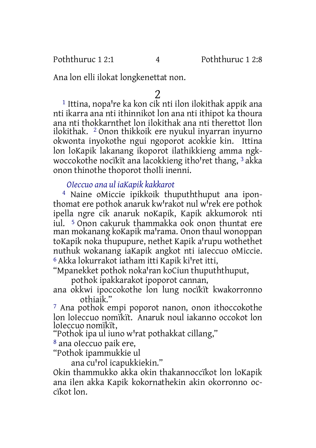Ana lon elli ilokat longkenettat non.

 $^{\rm 1}$  Ittina, nopa're ka kon cik nti ilon ilokithak appik ana nti ikarra ana nti ithinnikot lon ana nti ithipot ka thoura ana nti thokkarnthet lon ilokithak ana nti therettot llon ilokithak. 2 Onon thikkoik ere nyukul inyarran inyurno okwonta inyokothe ngui ngoporot acokkie kin. Ittina lon loKapik lakanang ikoporot ilathikkieng amma ngkwoccokothe nocïkït ana lacokkieng itho'ret thang, <sup>3</sup> akka onon thinothe thoporot thoIli inenni.

*OIeccuo ana ul iaKapik kakkarot*

4 Naine oMiccie ipikkoik thupuththuput ana iponthomat ere pothok anaruk kw'rakot nul w<sup>r</sup>rek ere pothok ipella ngre cik anaruk noKapik, Kapik akkumorok nti iul. 5 Onon cakuruk thammakka ook onon thuntat ere man mokanang koKapik ma'rama. Onon thaul wonoppan toKapik noka thupupure, nethet Kapik a'rupu wothethet nuthuk wokanang iaKapik angkot nti iaIeccuo oMiccie.  $6$  Akka lokurrakot iatham itti Kapik ki'ret itti,

"Mpanekket pothok noka'ran koCiun thupuththuput,

pothok ipakkarakot ipoporot cannan,

ana okkwi ipoccokothe lon lung nocïkït kwakorronno othiaik."

7 Ana pothok empi poporot nanon, onon ithoccokothe lon loIeccuo nomïkït. Anaruk noul iakanno occokot lon loIeccuo nomïkït,

"Pothok ipa ul iuno w'rat pothakkat cillang,"

8 ana oIeccuo paik ere,

"Pothok ipammukkie ul

ana cu'rol icapukkiekin."

Okin thammukko akka okin thakannoccïkot lon loKapik ana ilen akka Kapik kokornathekin akin okorronno occïkot lon.

 $\frac{2}{1}$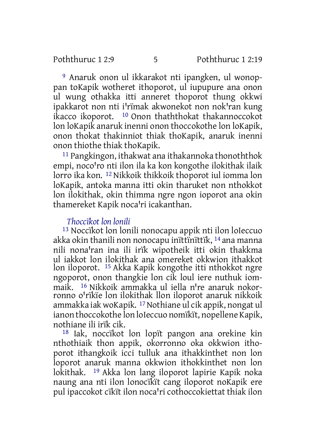9 Anaruk onon ul ikkarakot nti ipangken, ul wonoppan toKapik wotheret ithoporot, ul iupupure ana onon ul wung othakka itti anneret thoporot thung okkwi ipakkarot non nti i'rïmak akwonekot non nok'ran kung ikacco ikoporot. 10 Onon thaththokat thakannoccokot lon loKapik anaruk inenni onon thoccokothe lon loKapik, onon thokat thakinniot thiak thoKapik, anaruk inenni onon thiothe thiak thoKapik.

11 Pangkingon, ithakwat ana ithakannoka thonoththok empi, noco'ro nti ilon ila ka kon kongothe ilokithak ilaik lorro ika kon. 12 Nikkoik thikkoik thoporot iul iomma lon loKapik, antoka manna itti okin tharuket non nthokkot lon ilokithak, okin thimma ngre ngon ioporot ana okin thamereket Kapik noca'ri icakanthan.

# *Thoccïkot lon lonili*

13 Noccïkot lon lonili nonocapu appik nti ilon loIeccuo akka okin thanili non nonocapu inïttïnïttïk, 14 ana manna nili nonaꞌran ina ili irïk wipotheik itti okin thakkma ul iakkot lon ilokithak ana omereket okkwion ithakkot lon iloporot. 15 Akka Kapik kongothe itti nthokkot ngre ngoporot, onon thangkie lon cik loul iere nuthuk iommaik. <sup>16</sup> Nikkoik ammakka ul iella n're anaruk nokorronno o'rïkïe lon ilokithak llon iloporot anaruk nikkoik ammakka iak woKapik. 17Nothiane ul cik appik, nongat ul ianon thoccokothe lon loIeccuo nomïkït, nopellene Kapik, nothiane ili irïk cik.

18 Iak, noccïkot lon lopït pangon ana orekine kin nthothiaik thon appik, okorronno oka okkwion ithoporot ithangkoik icci tulluk ana ithakkinthet non lon loporot anaruk manna okkwion ithokkinthet non lon lokithak. 19 Akka lon lang iloporot lapirie Kapik noka naung ana nti ilon lonocïkït cang iloporot noKapik ere pul ipaccokot cïkït ilon noca'ri cothoccokiettat thiak ilon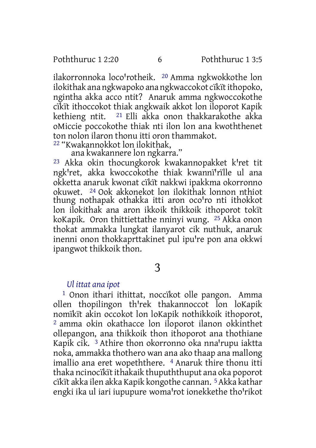ilakorronnoka loco'rotheik. <sup>20</sup> Amma ngkwokkothe lon ilokithak ana ngkwapoko ana ngkwaccokot cikit ithopoko, ngintha akka acco ntit? Anaruk amma ngkwoccokothe cïkït ithoccokot thiak angkwaik akkot lon iloporot Kapik kethieng ntit. 21 Elli akka onon thakkarakothe akka oMiccie poccokothe thiak nti ilon lon ana kwoththenet ton nolon ilaron thonu itti oron thammakot.

22 "Kwakannokkot lon ilokithak,

ana kwakannere lon ngkarra."

 $23$  Akka okin thocungkorok kwakannopakket k<sup>1</sup>ret tit ngk'ret, akka kwoccokothe thiak kwanni'rille ul ana okketta anaruk kwonat cïkït nakkwi ipakkma okorronno okuwet. 24 Ook akkonekot lon ilokithak lonnon nthiot thung nothapak othakka itti aron oco'ro nti ithokkot lon ilokithak ana aron ikkoik thikkoik ithoporot tokït koKapik. Oron thittiettathe nninyi wung. 25 Akka onon thokat ammakka lungkat ilanyarot cik nuthuk, anaruk inenni onon thokkaprttakinet pul ipu're pon ana okkwi ipangwot thikkoik thon.

3

#### *Ul ittat ana ipot*

1 Onon ithari ithittat, noccïkot olle pangon. Amma ollen thopilingon th'rek thakannoccot lon loKapik nomïkït akin occokot lon loKapik nothikkoik ithoporot, 2 amma okin okathacce lon iloporot ilanon okkinthet ollepangon, ana thikkoik thon ithoporot ana thothiane Kapik cik.<sup>3</sup> Athire thon okorronno oka nna'rupu iaktta noka, ammakka thothero wan ana ako thaap ana mallong imallio ana eret wopeththere. 4 Anaruk thire thonu itti thaka ncinocïkït ithakaik thupuththuput ana oka poporot cïkït akka ilen akka Kapik kongothe cannan. 5Akka kathar engki ika ul iari iupupure woma'rot ionekkethe tho'rikot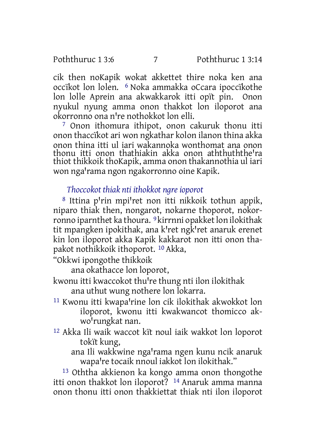cik then noKapik wokat akkettet thire noka ken ana occïkot lon lolen. 6 Noka ammakka oCcara ipoccïkothe lon lolle Aprein ana akwakkarok itti opït pin. Onon nyukul nyung amma onon thakkot lon iloporot ana okorronno ona nꞌre nothokkot lon elli.

7 Onon ithomura ithipot, onon cakuruk thonu itti onon thaccïkot ari won ngkathar kolon ilanon thina akka onon thina itti ul iari wakannoka wonthomat ana onon thonu itti onon thathiakin akka onon aththuththe<sup>1</sup>ra thiot thikkoik thoKapik, amma onon thakannothia ul iari won nga'rama ngon ngakorronno oine Kapik.

# *Thoccokot thiak nti ithokkot ngre ioporot*

<sup>8</sup> Ittina p'rin mpi'ret non itti nikkoik tothun appik, niparo thiak then, nongarot, nokarne thoporot, nokorronno iparnthet ka thoura. <sup>9</sup> kirrnni opakket lon ilokithak tit mpangken ipokithak, ana k<sup>*ret ngkret anaruk erenet*</sup> kin lon iloporot akka Kapik kakkarot non itti onon thapakot nothikkoik ithoporot. 10 Akka,

"Okkwi ipongothe thikkoik

ana okathacce lon loporot,

- kwonu itti kwaccokot thu're thung nti ilon ilokithak ana uthut wung nothere lon lokarra.
- <sup>11</sup> Kwonu itti kwapa'rine lon cik ilokithak akwokkot lon iloporot, kwonu itti kwakwancot thomicco akwo'rungkat nan.
- 12 Akka Ili waik waccot kït noul iaik wakkot lon loporot tokït kung,
	- ana Ili wakkwine nga'rama ngen kunu ncik anaruk wapa're tocaik nnoul iakkot lon ilokithak."

13 Oththa akkienon ka kongo amma onon thongothe itti onon thakkot lon iloporot? 14 Anaruk amma manna onon thonu itti onon thakkiettat thiak nti ilon iloporot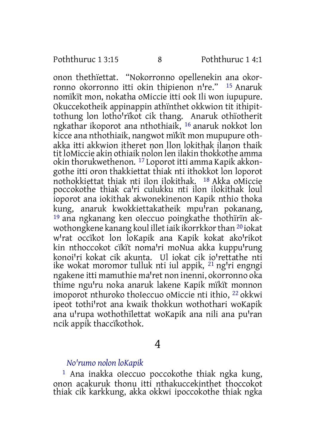onon thethïettat. "Nokorronno opellenekin ana okorronno okorronno itti okin thipienon n're." <sup>15</sup> Anaruk nomïkït mon, nokatha oMiccie itti ook Ili won iupupure. Okuccekotheik appinappin athïnthet okkwion tit ithipittothung lon lotho'rïkot cik thang. Anaruk othïotherit ngkathar ikoporot ana nthothiaik, 16 anaruk nokkot lon kicce ana nthothiaik, nangwot mïkït mon mupupure othakka itti akkwion itheret non llon lokithak ilanon thaik tit loMiccie akin othiaik nolon len ilakin thokkothe amma okin thorukwethenon. 17 Loporot itti amma Kapik akkongothe itti oron thakkiettat thiak nti ithokkot lon loporot nothokkiettat thiak nti ilon ilokithak. <sup>18</sup> Akka oMiccie poccokothe thiak ca'ri culukku nti ilon ilokithak loul ioporot ana iokithak akwonekinenon Kapik nthio thoka kung, anaruk kwokkiettakatheik mpu'ran pokanang, 19 ana ngkanang ken oIeccuo poingkathe thothïrïn akwothongkene kanang koul illet iaik ikorrkkor than <sup>20</sup> iokat w'rat occïkot lon loKapik ana Kapik kokat ako'rikot kin nthoccokot cïkït noma'ri moNua akka kuppu'rung konoi'ri kokat cik akunta. Ul jokat cik jo'rettathe nti ike wokat moromor tulluk nti iul appik, <sup>21</sup> ng'ri engngi ngakene itti mamuthie ma'ret non inenni, okorronno oka thime ngu'ru noka anaruk lakene Kapik mïkït monnon imoporot nthuroko thoIeccuo oMiccie nti ithio, 22 okkwi ipeot tothi'rot ana kwaik thokkun wothothari woKapik ana u'rupa wothothïlettat woKapik ana nili ana pu'ran ncik appik thaccïkothok.

4

# *Noꞌrumo nolon loKapik*

1 Ana inakka oIeccuo poccokothe thiak ngka kung, onon acakuruk thonu itti nthakuccekinthet thoccokot thiak cik karkkung, akka okkwi ipoccokothe thiak ngka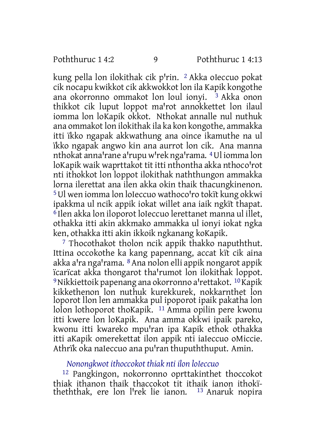kung pella lon ilokithak cik p'rin. <sup>2</sup> Akka oIeccuo pokat cik nocapu kwikkot cik akkwokkot lon ila Kapik kongothe ana okorronno ommakot lon loul ionyi. 3 Akka onon thikkot cik luput loppot ma'rot annokkettet lon ilaul iomma lon loKapik okkot. Nthokat annalle nul nuthuk ana ommakot lon ilokithak ila ka kon kongothe, ammakka itti ïkko ngapak akkwathung ana oince ikamuthe na ul ïkko ngapak angwo kin ana aurrot lon cik. Ana manna nthokat anna rane a rupu w rek nga rama. <sup>4</sup> Ul iomma lon loKapik waik waprttakot tit itti nthontha akka nthoco'rot nti ithokkot lon loppot ilokithak naththungon ammakka lorna ilerettat ana ilen akka okin thaik thacungkinenon. <sup>5</sup> Ul wen iomma lon loIeccuo wathoco'ro tokit kung okkwi ipakkma ul ncik appik iokat willet ana iaik ngkït thapat. 6 Ilen akka lon iloporot loIeccuo lerettanet manna ul illet, othakka itti akin akkmako ammakka ul ionyi iokat ngka ken, othakka itti akin ikkoik ngkanang koKapik.

7 Thocothakot tholon ncik appik thakko napuththut. Ittina occokothe ka kang papennang, accat kït cik aina akka a'ra nga'rama. <sup>8</sup> Ana nolon elli appik nongarot appik icaricat akka thongarot tha'rumot lon ilokithak loppot. <sup>9</sup> Nikkiettoik papenang ana okorronno alrettakot. <sup>10</sup> Kapik kikkethenon lon nuthuk kurekkurek, nokkarnthet lon loporot llon len ammakka pul ipoporot ipaik pakatha lon lolon lothoporot thoKapik. 11 Amma opilin pere kwonu itti kwere lon loKapik. Ana amma okkwi ipaik pareko, kwonu itti kwareko mpu'ran ipa Kapik ethok othakka itti aKapik omerekettat ilon appik nti iaIeccuo oMiccie. Athrïk oka naIeccuo ana pu'ran thupuththuput. Amin.

# *Nonongkwot ithoccokot thiak nti ilon loIeccuo*

12 Pangkingon, nokorronno oprttakinthet thoccokot thiak ithanon thaik thaccokot tit ithaik ianon ithokïtheththak, ere lon l'rek lie ianon. <sup>13</sup> Anaruk nopira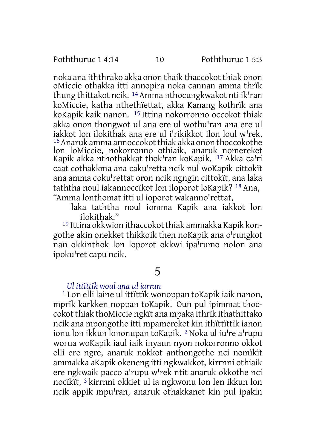noka ana iththrako akka onon thaik thaccokot thiak onon oMiccie othakka itti annopira noka cannan amma thrïk thung thittakot ncik. <sup>14</sup> Amma nthocungkwakot nti ik<sup>1</sup>ran koMiccie, katha nthethïettat, akka Kanang kothrïk ana koKapik kaik nanon. 15 Ittina nokorronno occokot thiak akka onon thongwot ul ana ere ul wothu'ran ana ere ul iakkot lon ilokithak ana ere ul i'rikikkot ilon loul w'rek. <sup>16</sup> Anaruk amma annoccokot thiak akka onon thoccokothe lon loMiccie, nokorronno othiaik, anaruk nomereket Kapik akka nthothakkat thok'ran koKapik. <sup>17</sup> Akka ca'ri caat cothakkma ana caku'retta ncik nul woKapik cittokït ana amma coku'rettat oron ncik ngngin cittokït, ana laka taththa noul iakannoccïkot lon iloporot loKapik? 18 Ana, "Amma lonthomat itti ul ioporot wakanno'rettat,

laka taththa noul iomma Kapik ana iakkot lon ilokithak."

<sup>19</sup> Ittina okkwion ithaccokot thiak ammakka Kapik kongothe akin onekket thikkoik then noKapik ana o'rungkot nan okkinthok lon loporot okkwi ipa'rumo nolon ana ipoku'ret capu ncik.

# 5

#### *Ul ittïttïk woul ana ul iarran*

1 Lon elli laine ul ittïttïk wonoppan toKapik iaik nanon, mprïk karkken noppan toKapik. Oun pul ipimmat thoccokot thiak thoMiccie ngkït ana mpaka ithrïk ithathittako ncik ana mpongothe itti mpamereket kin ithïttïttïk ianon ionu lon ikkun lononupan toKapik. <sup>2</sup> Noka ul iu're a'rupu worua woKapik iaul iaik inyaun nyon nokorronno okkot elli ere ngre, anaruk nokkot anthongothe nci nomïkït ammakka aKapik okeneng itti ngkwakkot, kirrnni othiaik ere ngkwaik pacco a'rupu w'rek ntit anaruk okkothe nci nocïkït, 3 kirrnni okkiet ul ia ngkwonu lon len ikkun lon ncik appik mpu'ran, anaruk othakkanet kin pul ipakin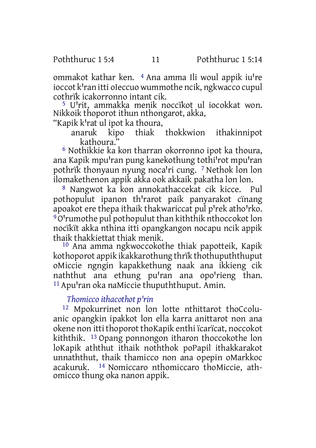ommakot kathar ken. <sup>4</sup> Ana amma Ili woul appik iu're ioccot k<sup>'</sup>ran itti oIeccuo wummothe ncik, ngkwacco cupul cothrïk icakorronno intant cik.

<sup>5</sup> U<sup>I</sup>rit, ammakka menik noccïkot ul iocokkat won. Nikkoik thoporot ithun nthongarot, akka,

"Kapik k'rat ul ipot ka thoura,<br>anaruk kipo thiak

anaruk kipo thiak thokkwion ithakinnipot kathoura."

6 Nothikkie ka kon tharran okorronno ipot ka thoura, ana Kapik mpu'ran pung kanekothung tothi'rot mpu'ran pothrïk thonyaun nyung noca'ri cung. 7 Nethok lon lon ilomakethenon appik akka ook akkaik pakatha lon lon.

8 Nangwot ka kon annokathaccekat cik kicce. Pul pothopulut ipanon th'rarot paik panyarakot cïnang apoakot ere thepa ithaik thakwariccat pul p'rek atho'rko. <sup>9</sup>O'rumothe pul pothopulut than kiththik nthoccokot lon nocïkït akka nthina itti opangkangon nocapu ncik appik thaik thakkiettat thiak menik.

10 Ana amma ngkwoccokothe thiak papotteik, Kapik kothoporot appik ikakkarothung thrïk thothupuththuput oMiccie ngngin kapakkethung naak ana ikkieng cik naththut ana ethung pu'ran ana opo'rieng than.  $11$  Apu'ran oka naMiccie thupuththuput. Amin.

# *Thomicco ithacothot pꞌrin*

12 Mpokurrinet non lon lotte nthittarot thoCcoluanic opangkin ipakkot lon ella karra anittarot non ana okene non itti thoporot thoKapik enthi ïcarïcat, noccokot kiththik. 13 Opang ponnongon itharon thoccokothe lon loKapik aththut ithaik noththok poPapil ithakkarakot unnaththut, thaik thamicco non ana opepin oMarkkoc acakuruk. 14 Nomiccaro nthomiccaro thoMiccie, athomicco thung oka nanon appik.